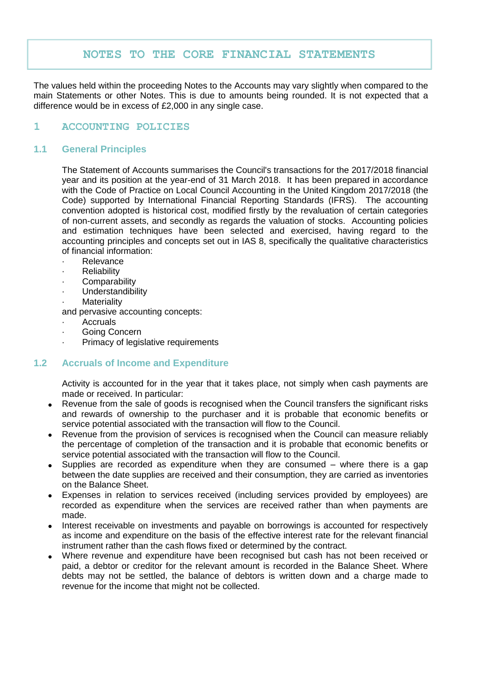# **NOTES TO THE CORE FINANCIAL STATEMENTS**

The values held within the proceeding Notes to the Accounts may vary slightly when compared to the main Statements or other Notes. This is due to amounts being rounded. It is not expected that a difference would be in excess of £2,000 in any single case.

## **1 ACCOUNTING POLICIES**

## **1.1 General Principles**

The Statement of Accounts summarises the Council's transactions for the 2017/2018 financial year and its position at the year-end of 31 March 2018. It has been prepared in accordance with the Code of Practice on Local Council Accounting in the United Kingdom 2017/2018 (the Code) supported by International Financial Reporting Standards (IFRS). The accounting convention adopted is historical cost, modified firstly by the revaluation of certain categories of non-current assets, and secondly as regards the valuation of stocks. Accounting policies and estimation techniques have been selected and exercised, having regard to the accounting principles and concepts set out in IAS 8, specifically the qualitative characteristics of financial information:

- · Relevance
- **Reliability**
- **Comparability**
- **Understandibility**
- **Materiality**

and pervasive accounting concepts:

- · Accruals
- Going Concern
- Primacy of legislative requirements

## **1.2 Accruals of Income and Expenditure**

Activity is accounted for in the year that it takes place, not simply when cash payments are made or received. In particular:

- Revenue from the sale of goods is recognised when the Council transfers the significant risks and rewards of ownership to the purchaser and it is probable that economic benefits or service potential associated with the transaction will flow to the Council.
- Revenue from the provision of services is recognised when the Council can measure reliably the percentage of completion of the transaction and it is probable that economic benefits or service potential associated with the transaction will flow to the Council.
- Supplies are recorded as expenditure when they are consumed where there is a gap between the date supplies are received and their consumption, they are carried as inventories on the Balance Sheet.
- Expenses in relation to services received (including services provided by employees) are recorded as expenditure when the services are received rather than when payments are made.
- Interest receivable on investments and payable on borrowings is accounted for respectively as income and expenditure on the basis of the effective interest rate for the relevant financial instrument rather than the cash flows fixed or determined by the contract.
- Where revenue and expenditure have been recognised but cash has not been received or paid, a debtor or creditor for the relevant amount is recorded in the Balance Sheet. Where debts may not be settled, the balance of debtors is written down and a charge made to revenue for the income that might not be collected.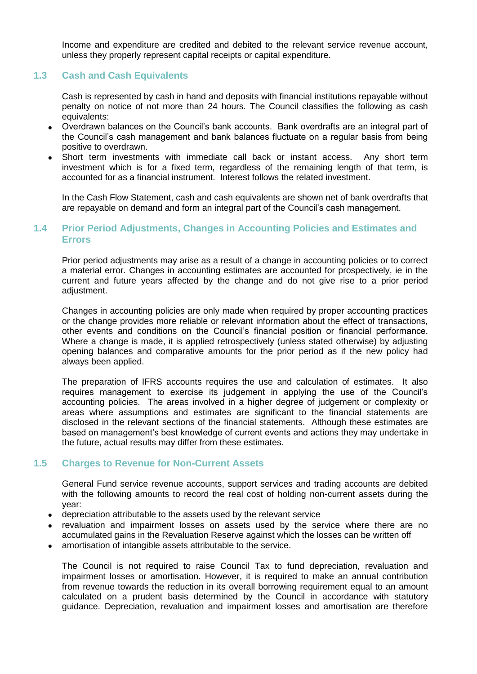Income and expenditure are credited and debited to the relevant service revenue account, unless they properly represent capital receipts or capital expenditure.

## **1.3 Cash and Cash Equivalents**

Cash is represented by cash in hand and deposits with financial institutions repayable without penalty on notice of not more than 24 hours. The Council classifies the following as cash equivalents:

- Overdrawn balances on the Council's bank accounts. Bank overdrafts are an integral part of the Council's cash management and bank balances fluctuate on a regular basis from being positive to overdrawn.
- Short term investments with immediate call back or instant access. Any short term investment which is for a fixed term, regardless of the remaining length of that term, is accounted for as a financial instrument. Interest follows the related investment.

In the Cash Flow Statement, cash and cash equivalents are shown net of bank overdrafts that are repayable on demand and form an integral part of the Council's cash management.

## **1.4 Prior Period Adjustments, Changes in Accounting Policies and Estimates and Errors**

Prior period adjustments may arise as a result of a change in accounting policies or to correct a material error. Changes in accounting estimates are accounted for prospectively, ie in the current and future years affected by the change and do not give rise to a prior period adiustment.

Changes in accounting policies are only made when required by proper accounting practices or the change provides more reliable or relevant information about the effect of transactions, other events and conditions on the Council's financial position or financial performance. Where a change is made, it is applied retrospectively (unless stated otherwise) by adjusting opening balances and comparative amounts for the prior period as if the new policy had always been applied.

The preparation of IFRS accounts requires the use and calculation of estimates. It also requires management to exercise its judgement in applying the use of the Council's accounting policies. The areas involved in a higher degree of judgement or complexity or areas where assumptions and estimates are significant to the financial statements are disclosed in the relevant sections of the financial statements. Although these estimates are based on management's best knowledge of current events and actions they may undertake in the future, actual results may differ from these estimates.

# **1.5 Charges to Revenue for Non-Current Assets**

General Fund service revenue accounts, support services and trading accounts are debited with the following amounts to record the real cost of holding non-current assets during the year:

- depreciation attributable to the assets used by the relevant service
- revaluation and impairment losses on assets used by the service where there are no accumulated gains in the Revaluation Reserve against which the losses can be written off
- amortisation of intangible assets attributable to the service.

The Council is not required to raise Council Tax to fund depreciation, revaluation and impairment losses or amortisation. However, it is required to make an annual contribution from revenue towards the reduction in its overall borrowing requirement equal to an amount calculated on a prudent basis determined by the Council in accordance with statutory guidance. Depreciation, revaluation and impairment losses and amortisation are therefore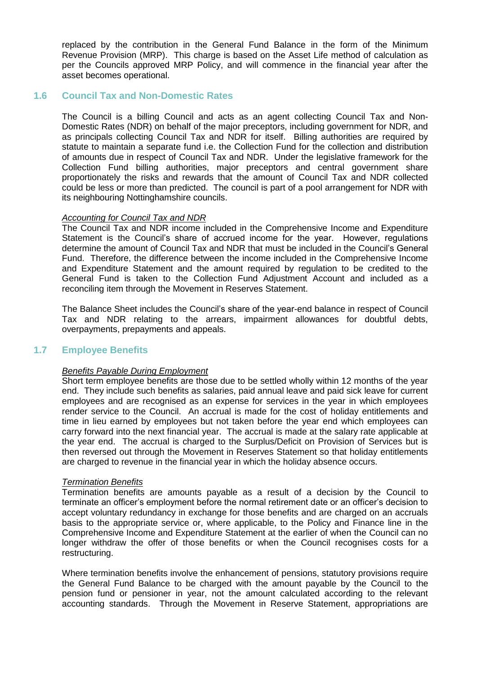replaced by the contribution in the General Fund Balance in the form of the Minimum Revenue Provision (MRP). This charge is based on the Asset Life method of calculation as per the Councils approved MRP Policy, and will commence in the financial year after the asset becomes operational.

## **1.6 Council Tax and Non-Domestic Rates**

The Council is a billing Council and acts as an agent collecting Council Tax and Non-Domestic Rates (NDR) on behalf of the major preceptors, including government for NDR, and as principals collecting Council Tax and NDR for itself. Billing authorities are required by statute to maintain a separate fund i.e. the Collection Fund for the collection and distribution of amounts due in respect of Council Tax and NDR. Under the legislative framework for the Collection Fund billing authorities, major preceptors and central government share proportionately the risks and rewards that the amount of Council Tax and NDR collected could be less or more than predicted. The council is part of a pool arrangement for NDR with its neighbouring Nottinghamshire councils.

#### *Accounting for Council Tax and NDR*

The Council Tax and NDR income included in the Comprehensive Income and Expenditure Statement is the Council's share of accrued income for the year. However, regulations determine the amount of Council Tax and NDR that must be included in the Council's General Fund. Therefore, the difference between the income included in the Comprehensive Income and Expenditure Statement and the amount required by regulation to be credited to the General Fund is taken to the Collection Fund Adjustment Account and included as a reconciling item through the Movement in Reserves Statement.

The Balance Sheet includes the Council's share of the year-end balance in respect of Council Tax and NDR relating to the arrears, impairment allowances for doubtful debts, overpayments, prepayments and appeals.

## **1.7 Employee Benefits**

#### *Benefits Payable During Employment*

Short term employee benefits are those due to be settled wholly within 12 months of the year end. They include such benefits as salaries, paid annual leave and paid sick leave for current employees and are recognised as an expense for services in the year in which employees render service to the Council. An accrual is made for the cost of holiday entitlements and time in lieu earned by employees but not taken before the year end which employees can carry forward into the next financial year. The accrual is made at the salary rate applicable at the year end. The accrual is charged to the Surplus/Deficit on Provision of Services but is then reversed out through the Movement in Reserves Statement so that holiday entitlements are charged to revenue in the financial year in which the holiday absence occurs.

#### *Termination Benefits*

Termination benefits are amounts payable as a result of a decision by the Council to terminate an officer's employment before the normal retirement date or an officer's decision to accept voluntary redundancy in exchange for those benefits and are charged on an accruals basis to the appropriate service or, where applicable, to the Policy and Finance line in the Comprehensive Income and Expenditure Statement at the earlier of when the Council can no longer withdraw the offer of those benefits or when the Council recognises costs for a restructuring.

Where termination benefits involve the enhancement of pensions, statutory provisions require the General Fund Balance to be charged with the amount payable by the Council to the pension fund or pensioner in year, not the amount calculated according to the relevant accounting standards. Through the Movement in Reserve Statement, appropriations are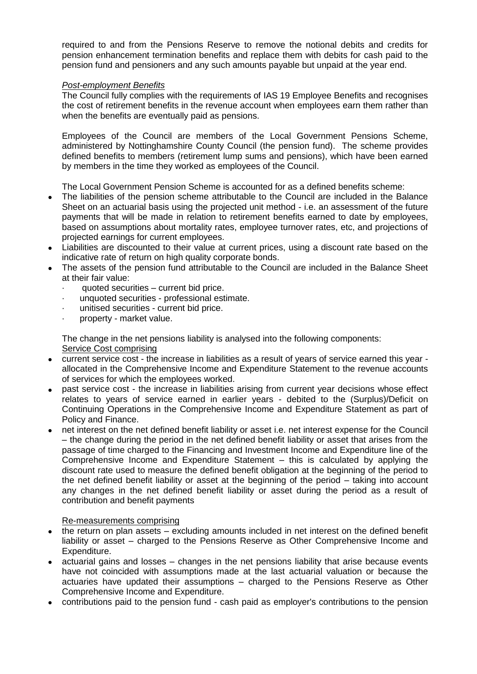required to and from the Pensions Reserve to remove the notional debits and credits for pension enhancement termination benefits and replace them with debits for cash paid to the pension fund and pensioners and any such amounts payable but unpaid at the year end.

## *Post-employment Benefits*

The Council fully complies with the requirements of IAS 19 Employee Benefits and recognises the cost of retirement benefits in the revenue account when employees earn them rather than when the benefits are eventually paid as pensions.

Employees of the Council are members of the Local Government Pensions Scheme, administered by Nottinghamshire County Council (the pension fund). The scheme provides defined benefits to members (retirement lump sums and pensions), which have been earned by members in the time they worked as employees of the Council.

The Local Government Pension Scheme is accounted for as a defined benefits scheme:

- The liabilities of the pension scheme attributable to the Council are included in the Balance Sheet on an actuarial basis using the projected unit method - i.e. an assessment of the future payments that will be made in relation to retirement benefits earned to date by employees, based on assumptions about mortality rates, employee turnover rates, etc, and projections of projected earnings for current employees.
- Liabilities are discounted to their value at current prices, using a discount rate based on the indicative rate of return on high quality corporate bonds.
- The assets of the pension fund attributable to the Council are included in the Balance Sheet at their fair value:
	- quoted securities current bid price.
	- · unquoted securities professional estimate.
	- unitised securities current bid price.
	- · property market value.

The change in the net pensions liability is analysed into the following components: Service Cost comprising

- current service cost the increase in liabilities as a result of years of service earned this year allocated in the Comprehensive Income and Expenditure Statement to the revenue accounts of services for which the employees worked.
- past service cost the increase in liabilities arising from current year decisions whose effect relates to years of service earned in earlier years - debited to the (Surplus)/Deficit on Continuing Operations in the Comprehensive Income and Expenditure Statement as part of Policy and Finance.
- net interest on the net defined benefit liability or asset i.e. net interest expense for the Council – the change during the period in the net defined benefit liability or asset that arises from the passage of time charged to the Financing and Investment Income and Expenditure line of the Comprehensive Income and Expenditure Statement – this is calculated by applying the discount rate used to measure the defined benefit obligation at the beginning of the period to the net defined benefit liability or asset at the beginning of the period – taking into account any changes in the net defined benefit liability or asset during the period as a result of contribution and benefit payments

## Re-measurements comprising

- the return on plan assets excluding amounts included in net interest on the defined benefit liability or asset – charged to the Pensions Reserve as Other Comprehensive Income and Expenditure.
- actuarial gains and losses changes in the net pensions liability that arise because events have not coincided with assumptions made at the last actuarial valuation or because the actuaries have updated their assumptions – charged to the Pensions Reserve as Other Comprehensive Income and Expenditure.
- contributions paid to the pension fund cash paid as employer's contributions to the pension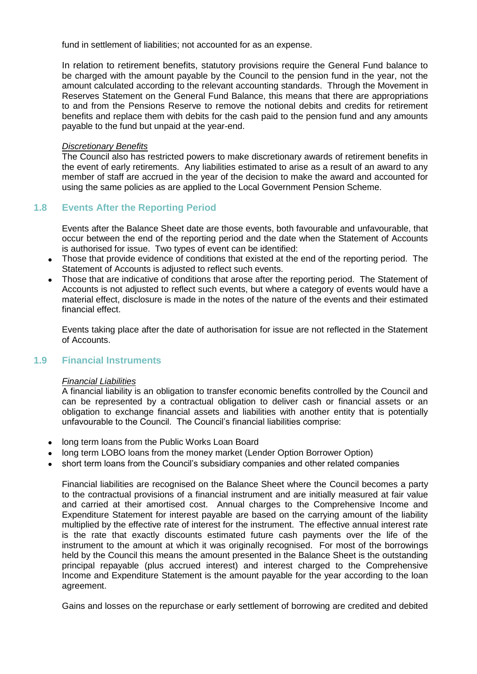fund in settlement of liabilities; not accounted for as an expense.

In relation to retirement benefits, statutory provisions require the General Fund balance to be charged with the amount payable by the Council to the pension fund in the year, not the amount calculated according to the relevant accounting standards. Through the Movement in Reserves Statement on the General Fund Balance, this means that there are appropriations to and from the Pensions Reserve to remove the notional debits and credits for retirement benefits and replace them with debits for the cash paid to the pension fund and any amounts payable to the fund but unpaid at the year-end.

#### *Discretionary Benefits*

The Council also has restricted powers to make discretionary awards of retirement benefits in the event of early retirements. Any liabilities estimated to arise as a result of an award to any member of staff are accrued in the year of the decision to make the award and accounted for using the same policies as are applied to the Local Government Pension Scheme.

# **1.8 Events After the Reporting Period**

Events after the Balance Sheet date are those events, both favourable and unfavourable, that occur between the end of the reporting period and the date when the Statement of Accounts is authorised for issue. Two types of event can be identified:

- Those that provide evidence of conditions that existed at the end of the reporting period. The Statement of Accounts is adjusted to reflect such events.
- Those that are indicative of conditions that arose after the reporting period. The Statement of Accounts is not adjusted to reflect such events, but where a category of events would have a material effect, disclosure is made in the notes of the nature of the events and their estimated financial effect.

Events taking place after the date of authorisation for issue are not reflected in the Statement of Accounts.

# **1.9 Financial Instruments**

## *Financial Liabilities*

A financial liability is an obligation to transfer economic benefits controlled by the Council and can be represented by a contractual obligation to deliver cash or financial assets or an obligation to exchange financial assets and liabilities with another entity that is potentially unfavourable to the Council. The Council's financial liabilities comprise:

- long term loans from the Public Works Loan Board
- long term LOBO loans from the money market (Lender Option Borrower Option)
- short term loans from the Council's subsidiary companies and other related companies

Financial liabilities are recognised on the Balance Sheet where the Council becomes a party to the contractual provisions of a financial instrument and are initially measured at fair value and carried at their amortised cost. Annual charges to the Comprehensive Income and Expenditure Statement for interest payable are based on the carrying amount of the liability multiplied by the effective rate of interest for the instrument. The effective annual interest rate is the rate that exactly discounts estimated future cash payments over the life of the instrument to the amount at which it was originally recognised. For most of the borrowings held by the Council this means the amount presented in the Balance Sheet is the outstanding principal repayable (plus accrued interest) and interest charged to the Comprehensive Income and Expenditure Statement is the amount payable for the year according to the loan agreement.

Gains and losses on the repurchase or early settlement of borrowing are credited and debited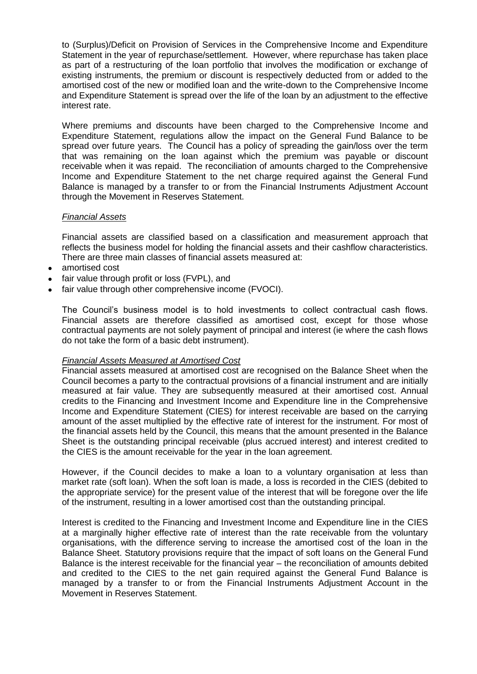to (Surplus)/Deficit on Provision of Services in the Comprehensive Income and Expenditure Statement in the year of repurchase/settlement. However, where repurchase has taken place as part of a restructuring of the loan portfolio that involves the modification or exchange of existing instruments, the premium or discount is respectively deducted from or added to the amortised cost of the new or modified loan and the write-down to the Comprehensive Income and Expenditure Statement is spread over the life of the loan by an adjustment to the effective interest rate.

Where premiums and discounts have been charged to the Comprehensive Income and Expenditure Statement, regulations allow the impact on the General Fund Balance to be spread over future years. The Council has a policy of spreading the gain/loss over the term that was remaining on the loan against which the premium was payable or discount receivable when it was repaid. The reconciliation of amounts charged to the Comprehensive Income and Expenditure Statement to the net charge required against the General Fund Balance is managed by a transfer to or from the Financial Instruments Adjustment Account through the Movement in Reserves Statement.

#### *Financial Assets*

Financial assets are classified based on a classification and measurement approach that reflects the business model for holding the financial assets and their cashflow characteristics. There are three main classes of financial assets measured at:

- amortised cost
- fair value through profit or loss (FVPL), and
- fair value through other comprehensive income (FVOCI).

The Council's business model is to hold investments to collect contractual cash flows. Financial assets are therefore classified as amortised cost, except for those whose contractual payments are not solely payment of principal and interest (ie where the cash flows do not take the form of a basic debt instrument).

#### *Financial Assets Measured at Amortised Cost*

Financial assets measured at amortised cost are recognised on the Balance Sheet when the Council becomes a party to the contractual provisions of a financial instrument and are initially measured at fair value. They are subsequently measured at their amortised cost. Annual credits to the Financing and Investment Income and Expenditure line in the Comprehensive Income and Expenditure Statement (CIES) for interest receivable are based on the carrying amount of the asset multiplied by the effective rate of interest for the instrument. For most of the financial assets held by the Council, this means that the amount presented in the Balance Sheet is the outstanding principal receivable (plus accrued interest) and interest credited to the CIES is the amount receivable for the year in the loan agreement.

However, if the Council decides to make a loan to a voluntary organisation at less than market rate (soft loan). When the soft loan is made, a loss is recorded in the CIES (debited to the appropriate service) for the present value of the interest that will be foregone over the life of the instrument, resulting in a lower amortised cost than the outstanding principal.

Interest is credited to the Financing and Investment Income and Expenditure line in the CIES at a marginally higher effective rate of interest than the rate receivable from the voluntary organisations, with the difference serving to increase the amortised cost of the loan in the Balance Sheet. Statutory provisions require that the impact of soft loans on the General Fund Balance is the interest receivable for the financial year – the reconciliation of amounts debited and credited to the CIES to the net gain required against the General Fund Balance is managed by a transfer to or from the Financial Instruments Adjustment Account in the Movement in Reserves Statement.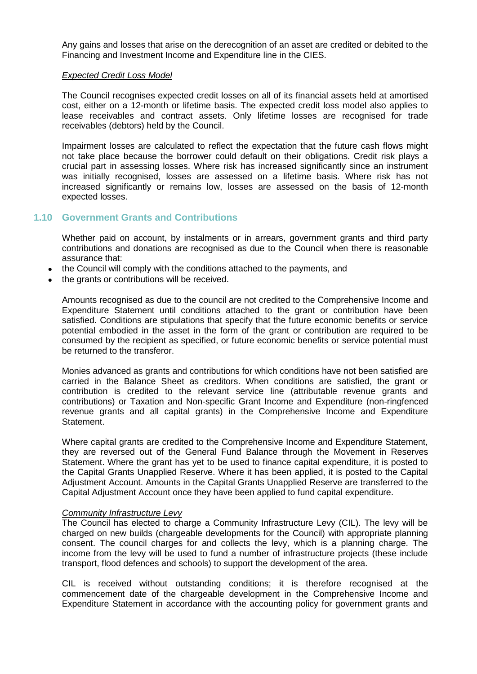Any gains and losses that arise on the derecognition of an asset are credited or debited to the Financing and Investment Income and Expenditure line in the CIES.

#### *Expected Credit Loss Model*

The Council recognises expected credit losses on all of its financial assets held at amortised cost, either on a 12-month or lifetime basis. The expected credit loss model also applies to lease receivables and contract assets. Only lifetime losses are recognised for trade receivables (debtors) held by the Council.

Impairment losses are calculated to reflect the expectation that the future cash flows might not take place because the borrower could default on their obligations. Credit risk plays a crucial part in assessing losses. Where risk has increased significantly since an instrument was initially recognised, losses are assessed on a lifetime basis. Where risk has not increased significantly or remains low, losses are assessed on the basis of 12-month expected losses.

## **1.10 Government Grants and Contributions**

Whether paid on account, by instalments or in arrears, government grants and third party contributions and donations are recognised as due to the Council when there is reasonable assurance that:

- the Council will comply with the conditions attached to the payments, and
- the grants or contributions will be received.

Amounts recognised as due to the council are not credited to the Comprehensive Income and Expenditure Statement until conditions attached to the grant or contribution have been satisfied. Conditions are stipulations that specify that the future economic benefits or service potential embodied in the asset in the form of the grant or contribution are required to be consumed by the recipient as specified, or future economic benefits or service potential must be returned to the transferor.

Monies advanced as grants and contributions for which conditions have not been satisfied are carried in the Balance Sheet as creditors. When conditions are satisfied, the grant or contribution is credited to the relevant service line (attributable revenue grants and contributions) or Taxation and Non-specific Grant Income and Expenditure (non-ringfenced revenue grants and all capital grants) in the Comprehensive Income and Expenditure Statement.

Where capital grants are credited to the Comprehensive Income and Expenditure Statement, they are reversed out of the General Fund Balance through the Movement in Reserves Statement. Where the grant has yet to be used to finance capital expenditure, it is posted to the Capital Grants Unapplied Reserve. Where it has been applied, it is posted to the Capital Adjustment Account. Amounts in the Capital Grants Unapplied Reserve are transferred to the Capital Adjustment Account once they have been applied to fund capital expenditure.

#### *Community Infrastructure Levy*

The Council has elected to charge a Community Infrastructure Levy (CIL). The levy will be charged on new builds (chargeable developments for the Council) with appropriate planning consent. The council charges for and collects the levy, which is a planning charge. The income from the levy will be used to fund a number of infrastructure projects (these include transport, flood defences and schools) to support the development of the area.

CIL is received without outstanding conditions; it is therefore recognised at the commencement date of the chargeable development in the Comprehensive Income and Expenditure Statement in accordance with the accounting policy for government grants and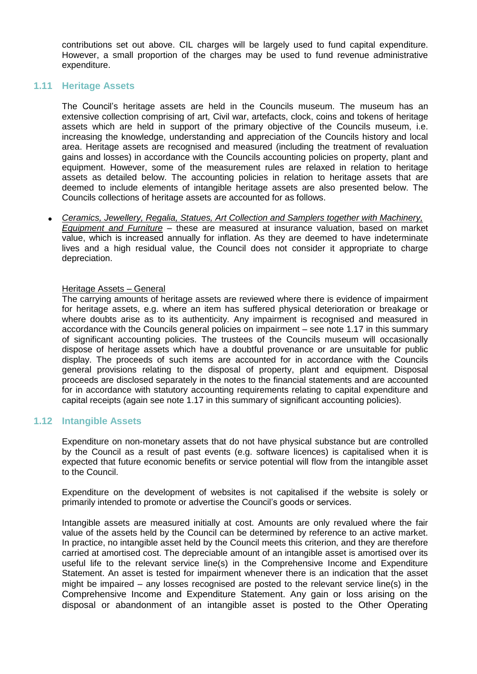contributions set out above. CIL charges will be largely used to fund capital expenditure. However, a small proportion of the charges may be used to fund revenue administrative expenditure.

## **1.11 Heritage Assets**

The Council's heritage assets are held in the Councils museum. The museum has an extensive collection comprising of art, Civil war, artefacts, clock, coins and tokens of heritage assets which are held in support of the primary objective of the Councils museum, i.e. increasing the knowledge, understanding and appreciation of the Councils history and local area. Heritage assets are recognised and measured (including the treatment of revaluation gains and losses) in accordance with the Councils accounting policies on property, plant and equipment. However, some of the measurement rules are relaxed in relation to heritage assets as detailed below. The accounting policies in relation to heritage assets that are deemed to include elements of intangible heritage assets are also presented below. The Councils collections of heritage assets are accounted for as follows.

 *Ceramics, Jewellery, Regalia, Statues, Art Collection and Samplers together with Machinery, Equipment and Furniture* – these are measured at insurance valuation, based on market value, which is increased annually for inflation. As they are deemed to have indeterminate lives and a high residual value, the Council does not consider it appropriate to charge depreciation.

## Heritage Assets – General

The carrying amounts of heritage assets are reviewed where there is evidence of impairment for heritage assets, e.g. where an item has suffered physical deterioration or breakage or where doubts arise as to its authenticity. Any impairment is recognised and measured in accordance with the Councils general policies on impairment – see note 1.17 in this summary of significant accounting policies. The trustees of the Councils museum will occasionally dispose of heritage assets which have a doubtful provenance or are unsuitable for public display. The proceeds of such items are accounted for in accordance with the Councils general provisions relating to the disposal of property, plant and equipment. Disposal proceeds are disclosed separately in the notes to the financial statements and are accounted for in accordance with statutory accounting requirements relating to capital expenditure and capital receipts (again see note 1.17 in this summary of significant accounting policies).

## **1.12 Intangible Assets**

Expenditure on non-monetary assets that do not have physical substance but are controlled by the Council as a result of past events (e.g. software licences) is capitalised when it is expected that future economic benefits or service potential will flow from the intangible asset to the Council.

Expenditure on the development of websites is not capitalised if the website is solely or primarily intended to promote or advertise the Council's goods or services.

Intangible assets are measured initially at cost. Amounts are only revalued where the fair value of the assets held by the Council can be determined by reference to an active market. In practice, no intangible asset held by the Council meets this criterion, and they are therefore carried at amortised cost. The depreciable amount of an intangible asset is amortised over its useful life to the relevant service line(s) in the Comprehensive Income and Expenditure Statement. An asset is tested for impairment whenever there is an indication that the asset might be impaired – any losses recognised are posted to the relevant service line(s) in the Comprehensive Income and Expenditure Statement. Any gain or loss arising on the disposal or abandonment of an intangible asset is posted to the Other Operating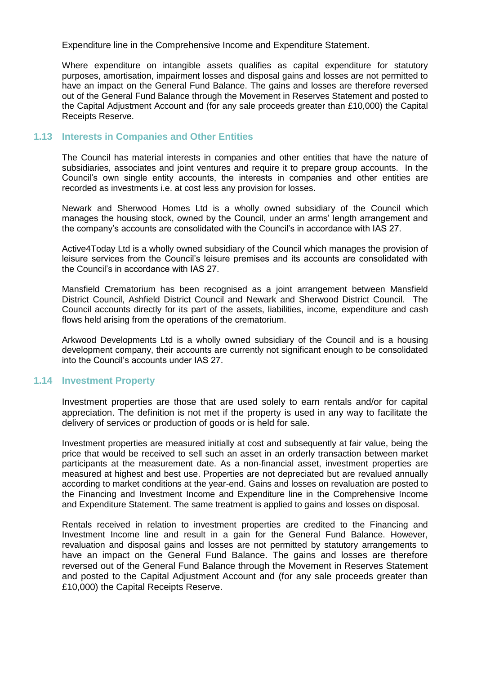Expenditure line in the Comprehensive Income and Expenditure Statement.

Where expenditure on intangible assets qualifies as capital expenditure for statutory purposes, amortisation, impairment losses and disposal gains and losses are not permitted to have an impact on the General Fund Balance. The gains and losses are therefore reversed out of the General Fund Balance through the Movement in Reserves Statement and posted to the Capital Adjustment Account and (for any sale proceeds greater than £10,000) the Capital Receipts Reserve.

## **1.13 Interests in Companies and Other Entities**

The Council has material interests in companies and other entities that have the nature of subsidiaries, associates and joint ventures and require it to prepare group accounts. In the Council's own single entity accounts, the interests in companies and other entities are recorded as investments i.e. at cost less any provision for losses.

Newark and Sherwood Homes Ltd is a wholly owned subsidiary of the Council which manages the housing stock, owned by the Council, under an arms' length arrangement and the company's accounts are consolidated with the Council's in accordance with IAS 27.

Active4Today Ltd is a wholly owned subsidiary of the Council which manages the provision of leisure services from the Council's leisure premises and its accounts are consolidated with the Council's in accordance with IAS 27.

Mansfield Crematorium has been recognised as a joint arrangement between Mansfield District Council, Ashfield District Council and Newark and Sherwood District Council. The Council accounts directly for its part of the assets, liabilities, income, expenditure and cash flows held arising from the operations of the crematorium.

Arkwood Developments Ltd is a wholly owned subsidiary of the Council and is a housing development company, their accounts are currently not significant enough to be consolidated into the Council's accounts under IAS 27.

## **1.14 Investment Property**

Investment properties are those that are used solely to earn rentals and/or for capital appreciation. The definition is not met if the property is used in any way to facilitate the delivery of services or production of goods or is held for sale.

Investment properties are measured initially at cost and subsequently at fair value, being the price that would be received to sell such an asset in an orderly transaction between market participants at the measurement date. As a non-financial asset, investment properties are measured at highest and best use. Properties are not depreciated but are revalued annually according to market conditions at the year-end. Gains and losses on revaluation are posted to the Financing and Investment Income and Expenditure line in the Comprehensive Income and Expenditure Statement. The same treatment is applied to gains and losses on disposal.

Rentals received in relation to investment properties are credited to the Financing and Investment Income line and result in a gain for the General Fund Balance. However, revaluation and disposal gains and losses are not permitted by statutory arrangements to have an impact on the General Fund Balance. The gains and losses are therefore reversed out of the General Fund Balance through the Movement in Reserves Statement and posted to the Capital Adjustment Account and (for any sale proceeds greater than £10,000) the Capital Receipts Reserve.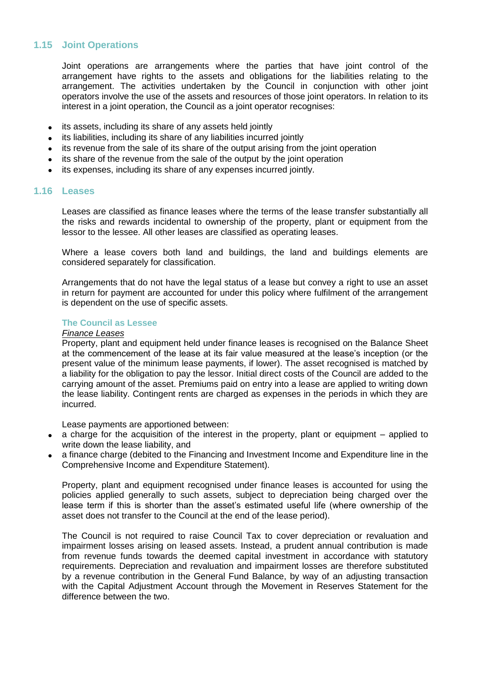## **1.15 Joint Operations**

Joint operations are arrangements where the parties that have joint control of the arrangement have rights to the assets and obligations for the liabilities relating to the arrangement. The activities undertaken by the Council in conjunction with other joint operators involve the use of the assets and resources of those joint operators. In relation to its interest in a joint operation, the Council as a joint operator recognises:

- its assets, including its share of any assets held jointly
- its liabilities, including its share of any liabilities incurred jointly
- its revenue from the sale of its share of the output arising from the joint operation
- its share of the revenue from the sale of the output by the joint operation
- its expenses, including its share of any expenses incurred jointly.

#### **1.16 Leases**

Leases are classified as finance leases where the terms of the lease transfer substantially all the risks and rewards incidental to ownership of the property, plant or equipment from the lessor to the lessee. All other leases are classified as operating leases.

Where a lease covers both land and buildings, the land and buildings elements are considered separately for classification.

Arrangements that do not have the legal status of a lease but convey a right to use an asset in return for payment are accounted for under this policy where fulfilment of the arrangement is dependent on the use of specific assets.

## **The Council as Lessee**

#### *Finance Leases*

Property, plant and equipment held under finance leases is recognised on the Balance Sheet at the commencement of the lease at its fair value measured at the lease's inception (or the present value of the minimum lease payments, if lower). The asset recognised is matched by a liability for the obligation to pay the lessor. Initial direct costs of the Council are added to the carrying amount of the asset. Premiums paid on entry into a lease are applied to writing down the lease liability. Contingent rents are charged as expenses in the periods in which they are incurred.

Lease payments are apportioned between:

- a charge for the acquisition of the interest in the property, plant or equipment  $-$  applied to write down the lease liability, and
- a finance charge (debited to the Financing and Investment Income and Expenditure line in the Comprehensive Income and Expenditure Statement).

Property, plant and equipment recognised under finance leases is accounted for using the policies applied generally to such assets, subject to depreciation being charged over the lease term if this is shorter than the asset's estimated useful life (where ownership of the asset does not transfer to the Council at the end of the lease period).

The Council is not required to raise Council Tax to cover depreciation or revaluation and impairment losses arising on leased assets. Instead, a prudent annual contribution is made from revenue funds towards the deemed capital investment in accordance with statutory requirements. Depreciation and revaluation and impairment losses are therefore substituted by a revenue contribution in the General Fund Balance, by way of an adjusting transaction with the Capital Adjustment Account through the Movement in Reserves Statement for the difference between the two.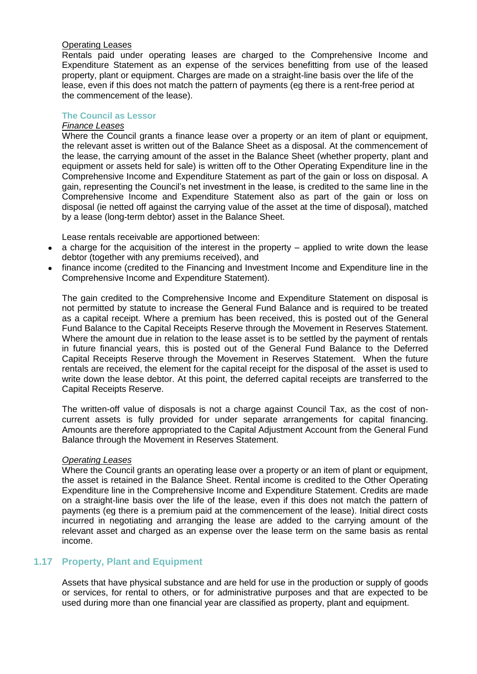### Operating Leases

Rentals paid under operating leases are charged to the Comprehensive Income and Expenditure Statement as an expense of the services benefitting from use of the leased property, plant or equipment. Charges are made on a straight-line basis over the life of the lease, even if this does not match the pattern of payments (eg there is a rent-free period at the commencement of the lease).

#### **The Council as Lessor**

### *Finance Leases*

Where the Council grants a finance lease over a property or an item of plant or equipment, the relevant asset is written out of the Balance Sheet as a disposal. At the commencement of the lease, the carrying amount of the asset in the Balance Sheet (whether property, plant and equipment or assets held for sale) is written off to the Other Operating Expenditure line in the Comprehensive Income and Expenditure Statement as part of the gain or loss on disposal. A gain, representing the Council's net investment in the lease, is credited to the same line in the Comprehensive Income and Expenditure Statement also as part of the gain or loss on disposal (ie netted off against the carrying value of the asset at the time of disposal), matched by a lease (long-term debtor) asset in the Balance Sheet.

Lease rentals receivable are apportioned between:

- $\bullet$  a charge for the acquisition of the interest in the property applied to write down the lease debtor (together with any premiums received), and
- finance income (credited to the Financing and Investment Income and Expenditure line in the Comprehensive Income and Expenditure Statement).

The gain credited to the Comprehensive Income and Expenditure Statement on disposal is not permitted by statute to increase the General Fund Balance and is required to be treated as a capital receipt. Where a premium has been received, this is posted out of the General Fund Balance to the Capital Receipts Reserve through the Movement in Reserves Statement. Where the amount due in relation to the lease asset is to be settled by the payment of rentals in future financial years, this is posted out of the General Fund Balance to the Deferred Capital Receipts Reserve through the Movement in Reserves Statement. When the future rentals are received, the element for the capital receipt for the disposal of the asset is used to write down the lease debtor. At this point, the deferred capital receipts are transferred to the Capital Receipts Reserve.

The written-off value of disposals is not a charge against Council Tax, as the cost of noncurrent assets is fully provided for under separate arrangements for capital financing. Amounts are therefore appropriated to the Capital Adjustment Account from the General Fund Balance through the Movement in Reserves Statement.

## *Operating Leases*

Where the Council grants an operating lease over a property or an item of plant or equipment, the asset is retained in the Balance Sheet. Rental income is credited to the Other Operating Expenditure line in the Comprehensive Income and Expenditure Statement. Credits are made on a straight-line basis over the life of the lease, even if this does not match the pattern of payments (eg there is a premium paid at the commencement of the lease). Initial direct costs incurred in negotiating and arranging the lease are added to the carrying amount of the relevant asset and charged as an expense over the lease term on the same basis as rental income.

# **1.17 Property, Plant and Equipment**

Assets that have physical substance and are held for use in the production or supply of goods or services, for rental to others, or for administrative purposes and that are expected to be used during more than one financial year are classified as property, plant and equipment.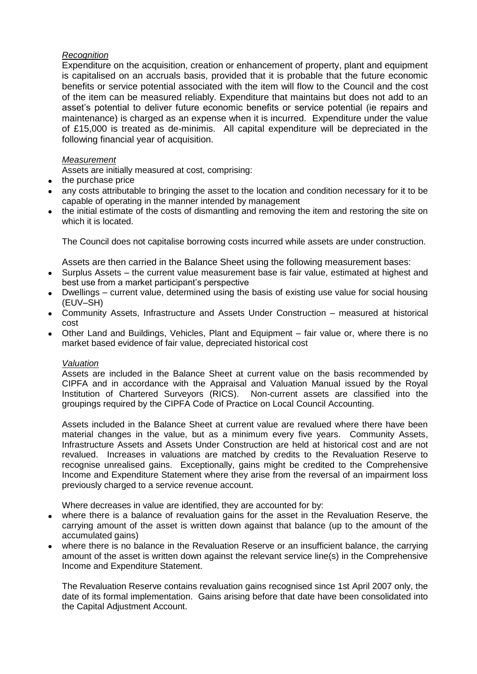## *Recognition*

Expenditure on the acquisition, creation or enhancement of property, plant and equipment is capitalised on an accruals basis, provided that it is probable that the future economic benefits or service potential associated with the item will flow to the Council and the cost of the item can be measured reliably. Expenditure that maintains but does not add to an asset's potential to deliver future economic benefits or service potential (ie repairs and maintenance) is charged as an expense when it is incurred. Expenditure under the value of £15,000 is treated as de-minimis. All capital expenditure will be depreciated in the following financial year of acquisition.

## *Measurement*

Assets are initially measured at cost, comprising:

- the purchase price
- any costs attributable to bringing the asset to the location and condition necessary for it to be capable of operating in the manner intended by management
- the initial estimate of the costs of dismantling and removing the item and restoring the site on which it is located.

The Council does not capitalise borrowing costs incurred while assets are under construction.

Assets are then carried in the Balance Sheet using the following measurement bases:

- Surplus Assets the current value measurement base is fair value, estimated at highest and best use from a market participant's perspective
- Dwellings current value, determined using the basis of existing use value for social housing (EUV–SH)
- Community Assets, Infrastructure and Assets Under Construction measured at historical cost
- Other Land and Buildings, Vehicles, Plant and Equipment fair value or, where there is no market based evidence of fair value, depreciated historical cost

## *Valuation*

Assets are included in the Balance Sheet at current value on the basis recommended by CIPFA and in accordance with the Appraisal and Valuation Manual issued by the Royal Institution of Chartered Surveyors (RICS). Non-current assets are classified into the groupings required by the CIPFA Code of Practice on Local Council Accounting.

Assets included in the Balance Sheet at current value are revalued where there have been material changes in the value, but as a minimum every five years. Community Assets, Infrastructure Assets and Assets Under Construction are held at historical cost and are not revalued. Increases in valuations are matched by credits to the Revaluation Reserve to recognise unrealised gains. Exceptionally, gains might be credited to the Comprehensive Income and Expenditure Statement where they arise from the reversal of an impairment loss previously charged to a service revenue account.

Where decreases in value are identified, they are accounted for by:

- where there is a balance of revaluation gains for the asset in the Revaluation Reserve, the carrying amount of the asset is written down against that balance (up to the amount of the accumulated gains)
- where there is no balance in the Revaluation Reserve or an insufficient balance, the carrying amount of the asset is written down against the relevant service line(s) in the Comprehensive Income and Expenditure Statement.

The Revaluation Reserve contains revaluation gains recognised since 1st April 2007 only, the date of its formal implementation. Gains arising before that date have been consolidated into the Capital Adjustment Account.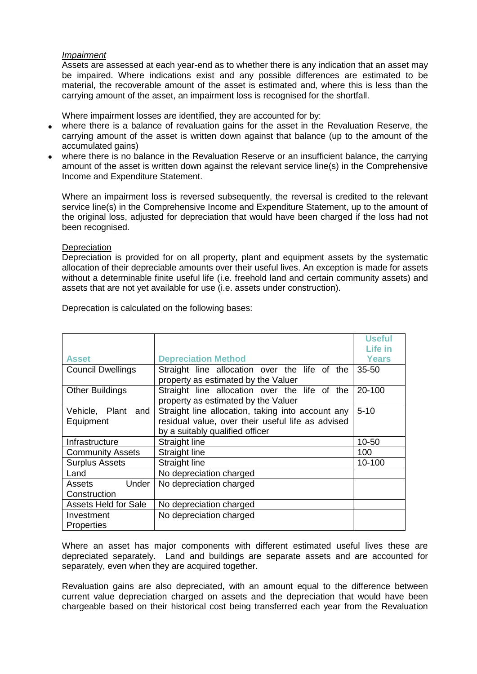#### *Impairment*

Assets are assessed at each year-end as to whether there is any indication that an asset may be impaired. Where indications exist and any possible differences are estimated to be material, the recoverable amount of the asset is estimated and, where this is less than the carrying amount of the asset, an impairment loss is recognised for the shortfall.

Where impairment losses are identified, they are accounted for by:

- where there is a balance of revaluation gains for the asset in the Revaluation Reserve, the carrying amount of the asset is written down against that balance (up to the amount of the accumulated gains)
- where there is no balance in the Revaluation Reserve or an insufficient balance, the carrying amount of the asset is written down against the relevant service line(s) in the Comprehensive Income and Expenditure Statement.

Where an impairment loss is reversed subsequently, the reversal is credited to the relevant service line(s) in the Comprehensive Income and Expenditure Statement, up to the amount of the original loss, adjusted for depreciation that would have been charged if the loss had not been recognised.

#### **Depreciation**

Depreciation is provided for on all property, plant and equipment assets by the systematic allocation of their depreciable amounts over their useful lives. An exception is made for assets without a determinable finite useful life (i.e. freehold land and certain community assets) and assets that are not yet available for use (i.e. assets under construction).

Deprecation is calculated on the following bases:

|                             |                                                   | <b>Useful</b> |
|-----------------------------|---------------------------------------------------|---------------|
|                             |                                                   | Life in       |
| <b>Asset</b>                | <b>Depreciation Method</b>                        | Years         |
| <b>Council Dwellings</b>    | Straight line allocation over the life of the     | $35 - 50$     |
|                             | property as estimated by the Valuer               |               |
| <b>Other Buildings</b>      | Straight line allocation over the life of the     | 20-100        |
|                             | property as estimated by the Valuer               |               |
| Vehicle, Plant and          | Straight line allocation, taking into account any | $5 - 10$      |
| Equipment                   | residual value, over their useful life as advised |               |
|                             | by a suitably qualified officer                   |               |
| Infrastructure              | <b>Straight line</b>                              | 10-50         |
| <b>Community Assets</b>     | <b>Straight line</b>                              | 100           |
| <b>Surplus Assets</b>       | Straight line                                     | 10-100        |
| Land                        | No depreciation charged                           |               |
| Under<br>Assets             | No depreciation charged                           |               |
| Construction                |                                                   |               |
| <b>Assets Held for Sale</b> | No depreciation charged                           |               |
| Investment                  | No depreciation charged                           |               |
| Properties                  |                                                   |               |

Where an asset has major components with different estimated useful lives these are depreciated separately. Land and buildings are separate assets and are accounted for separately, even when they are acquired together.

Revaluation gains are also depreciated, with an amount equal to the difference between current value depreciation charged on assets and the depreciation that would have been chargeable based on their historical cost being transferred each year from the Revaluation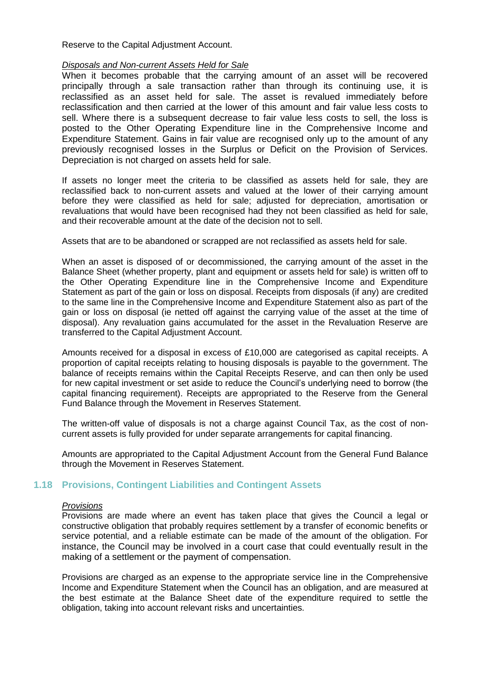Reserve to the Capital Adjustment Account.

#### *Disposals and Non-current Assets Held for Sale*

When it becomes probable that the carrying amount of an asset will be recovered principally through a sale transaction rather than through its continuing use, it is reclassified as an asset held for sale. The asset is revalued immediately before reclassification and then carried at the lower of this amount and fair value less costs to sell. Where there is a subsequent decrease to fair value less costs to sell, the loss is posted to the Other Operating Expenditure line in the Comprehensive Income and Expenditure Statement. Gains in fair value are recognised only up to the amount of any previously recognised losses in the Surplus or Deficit on the Provision of Services. Depreciation is not charged on assets held for sale.

If assets no longer meet the criteria to be classified as assets held for sale, they are reclassified back to non-current assets and valued at the lower of their carrying amount before they were classified as held for sale; adjusted for depreciation, amortisation or revaluations that would have been recognised had they not been classified as held for sale, and their recoverable amount at the date of the decision not to sell.

Assets that are to be abandoned or scrapped are not reclassified as assets held for sale.

When an asset is disposed of or decommissioned, the carrying amount of the asset in the Balance Sheet (whether property, plant and equipment or assets held for sale) is written off to the Other Operating Expenditure line in the Comprehensive Income and Expenditure Statement as part of the gain or loss on disposal. Receipts from disposals (if any) are credited to the same line in the Comprehensive Income and Expenditure Statement also as part of the gain or loss on disposal (ie netted off against the carrying value of the asset at the time of disposal). Any revaluation gains accumulated for the asset in the Revaluation Reserve are transferred to the Capital Adjustment Account.

Amounts received for a disposal in excess of £10,000 are categorised as capital receipts. A proportion of capital receipts relating to housing disposals is payable to the government. The balance of receipts remains within the Capital Receipts Reserve, and can then only be used for new capital investment or set aside to reduce the Council's underlying need to borrow (the capital financing requirement). Receipts are appropriated to the Reserve from the General Fund Balance through the Movement in Reserves Statement.

The written-off value of disposals is not a charge against Council Tax, as the cost of noncurrent assets is fully provided for under separate arrangements for capital financing.

Amounts are appropriated to the Capital Adjustment Account from the General Fund Balance through the Movement in Reserves Statement.

# **1.18 Provisions, Contingent Liabilities and Contingent Assets**

#### *Provisions*

Provisions are made where an event has taken place that gives the Council a legal or constructive obligation that probably requires settlement by a transfer of economic benefits or service potential, and a reliable estimate can be made of the amount of the obligation. For instance, the Council may be involved in a court case that could eventually result in the making of a settlement or the payment of compensation.

Provisions are charged as an expense to the appropriate service line in the Comprehensive Income and Expenditure Statement when the Council has an obligation, and are measured at the best estimate at the Balance Sheet date of the expenditure required to settle the obligation, taking into account relevant risks and uncertainties.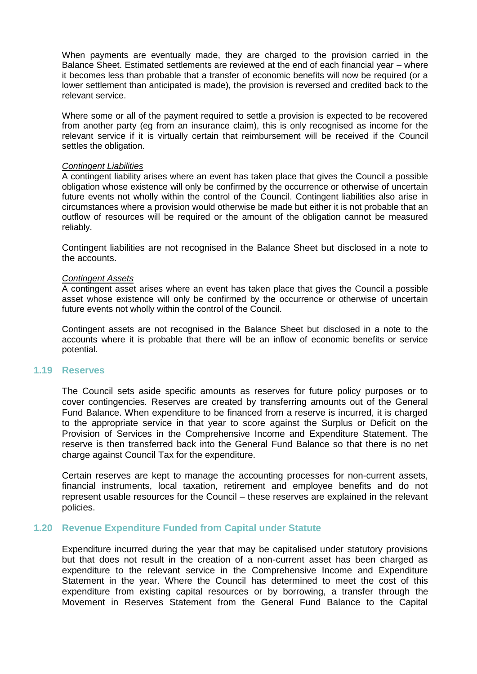When payments are eventually made, they are charged to the provision carried in the Balance Sheet. Estimated settlements are reviewed at the end of each financial year – where it becomes less than probable that a transfer of economic benefits will now be required (or a lower settlement than anticipated is made), the provision is reversed and credited back to the relevant service.

Where some or all of the payment required to settle a provision is expected to be recovered from another party (eg from an insurance claim), this is only recognised as income for the relevant service if it is virtually certain that reimbursement will be received if the Council settles the obligation.

#### *Contingent Liabilities*

A contingent liability arises where an event has taken place that gives the Council a possible obligation whose existence will only be confirmed by the occurrence or otherwise of uncertain future events not wholly within the control of the Council. Contingent liabilities also arise in circumstances where a provision would otherwise be made but either it is not probable that an outflow of resources will be required or the amount of the obligation cannot be measured reliably.

Contingent liabilities are not recognised in the Balance Sheet but disclosed in a note to the accounts.

#### *Contingent Assets*

A contingent asset arises where an event has taken place that gives the Council a possible asset whose existence will only be confirmed by the occurrence or otherwise of uncertain future events not wholly within the control of the Council.

Contingent assets are not recognised in the Balance Sheet but disclosed in a note to the accounts where it is probable that there will be an inflow of economic benefits or service potential.

#### **1.19 Reserves**

The Council sets aside specific amounts as reserves for future policy purposes or to cover contingencies*.* Reserves are created by transferring amounts out of the General Fund Balance. When expenditure to be financed from a reserve is incurred, it is charged to the appropriate service in that year to score against the Surplus or Deficit on the Provision of Services in the Comprehensive Income and Expenditure Statement. The reserve is then transferred back into the General Fund Balance so that there is no net charge against Council Tax for the expenditure.

Certain reserves are kept to manage the accounting processes for non-current assets, financial instruments, local taxation, retirement and employee benefits and do not represent usable resources for the Council – these reserves are explained in the relevant policies.

#### **1.20 Revenue Expenditure Funded from Capital under Statute**

Expenditure incurred during the year that may be capitalised under statutory provisions but that does not result in the creation of a non-current asset has been charged as expenditure to the relevant service in the Comprehensive Income and Expenditure Statement in the year. Where the Council has determined to meet the cost of this expenditure from existing capital resources or by borrowing, a transfer through the Movement in Reserves Statement from the General Fund Balance to the Capital